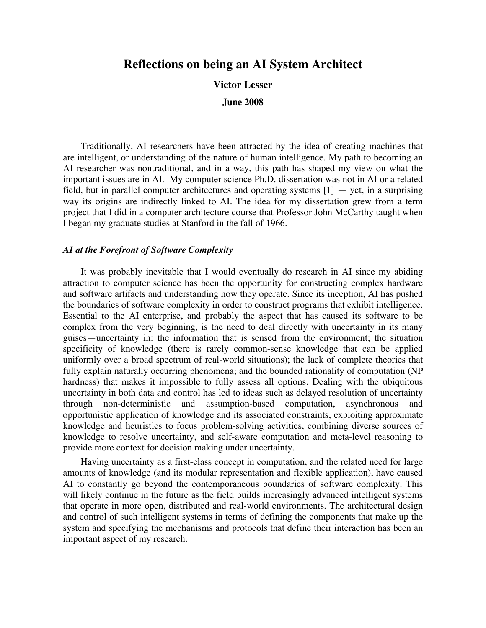# **Reflections on being an AI System Architect**

**Victor Lesser**

**June 2008**

Traditionally, AI researchers have been attracted by the idea of creating machines that are intelligent, or understanding of the nature of human intelligence. My path to becoming an AI researcher was nontraditional, and in a way, this path has shaped my view on what the important issues are in AI. My computer science Ph.D. dissertation was not in AI or a related field, but in parallel computer architectures and operating systems  $[1] - \text{yet}$ , in a surprising way its origins are indirectly linked to AI. The idea for my dissertation grew from a term project that I did in a computer architecture course that Professor John McCarthy taught when I began my graduate studies at Stanford in the fall of 1966.

# *AI at the Forefront of Software Complexity*

It was probably inevitable that I would eventually do research in AI since my abiding attraction to computer science has been the opportunity for constructing complex hardware and software artifacts and understanding how they operate. Since its inception, AI has pushed the boundaries of software complexity in order to construct programs that exhibit intelligence. Essential to the AI enterprise, and probably the aspect that has caused its software to be complex from the very beginning, is the need to deal directly with uncertainty in its many guises—uncertainty in: the information that is sensed from the environment; the situation specificity of knowledge (there is rarely common-sense knowledge that can be applied uniformly over a broad spectrum of real-world situations); the lack of complete theories that fully explain naturally occurring phenomena; and the bounded rationality of computation (NP hardness) that makes it impossible to fully assess all options. Dealing with the ubiquitous uncertainty in both data and control has led to ideas such as delayed resolution of uncertainty through non-deterministic and assumption-based computation, asynchronous and opportunistic application of knowledge and its associated constraints, exploiting approximate knowledge and heuristics to focus problem-solving activities, combining diverse sources of knowledge to resolve uncertainty, and self-aware computation and meta-level reasoning to provide more context for decision making under uncertainty.

Having uncertainty as a first-class concept in computation, and the related need for large amounts of knowledge (and its modular representation and flexible application), have caused AI to constantly go beyond the contemporaneous boundaries of software complexity. This will likely continue in the future as the field builds increasingly advanced intelligent systems that operate in more open, distributed and real-world environments. The architectural design and control of such intelligent systems in terms of defining the components that make up the system and specifying the mechanisms and protocols that define their interaction has been an important aspect of my research.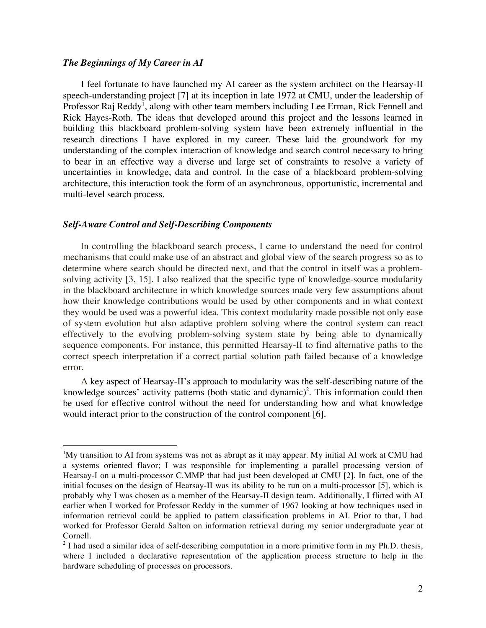#### *The Beginnings of My Career in AI*

 $\overline{a}$ 

I feel fortunate to have launched my AI career as the system architect on the Hearsay-II speech-understanding project [7] at its inception in late 1972 at CMU, under the leadership of Professor Raj Reddy<sup>1</sup>, along with other team members including Lee Erman, Rick Fennell and Rick Hayes-Roth. The ideas that developed around this project and the lessons learned in building this blackboard problem-solving system have been extremely influential in the research directions I have explored in my career. These laid the groundwork for my understanding of the complex interaction of knowledge and search control necessary to bring to bear in an effective way a diverse and large set of constraints to resolve a variety of uncertainties in knowledge, data and control. In the case of a blackboard problem-solving architecture, this interaction took the form of an asynchronous, opportunistic, incremental and multi-level search process.

#### *Self-Aware Control and Self-Describing Components*

In controlling the blackboard search process, I came to understand the need for control mechanisms that could make use of an abstract and global view of the search progress so as to determine where search should be directed next, and that the control in itself was a problemsolving activity [3, 15]. I also realized that the specific type of knowledge-source modularity in the blackboard architecture in which knowledge sources made very few assumptions about how their knowledge contributions would be used by other components and in what context they would be used was a powerful idea. This context modularity made possible not only ease of system evolution but also adaptive problem solving where the control system can react effectively to the evolving problem-solving system state by being able to dynamically sequence components. For instance, this permitted Hearsay-II to find alternative paths to the correct speech interpretation if a correct partial solution path failed because of a knowledge error.

A key aspect of Hearsay-II's approach to modularity was the self-describing nature of the knowledge sources' activity patterns (both static and dynamic)<sup>2</sup>. This information could then be used for effective control without the need for understanding how and what knowledge would interact prior to the construction of the control component [6].

<sup>&</sup>lt;sup>1</sup>My transition to AI from systems was not as abrupt as it may appear. My initial AI work at CMU had a systems oriented flavor; I was responsible for implementing a parallel processing version of Hearsay-I on a multi-processor C.MMP that had just been developed at CMU [2]. In fact, one of the initial focuses on the design of Hearsay-II was its ability to be run on a multi-processor [5], which is probably why I was chosen as a member of the Hearsay-II design team. Additionally, I flirted with AI earlier when I worked for Professor Reddy in the summer of 1967 looking at how techniques used in information retrieval could be applied to pattern classification problems in AI. Prior to that, I had worked for Professor Gerald Salton on information retrieval during my senior undergraduate year at Cornell.

 $2$  I had used a similar idea of self-describing computation in a more primitive form in my Ph.D. thesis, where I included a declarative representation of the application process structure to help in the hardware scheduling of processes on processors.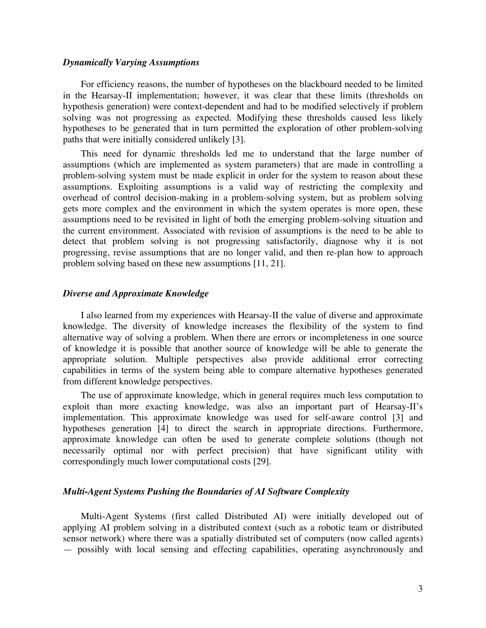#### *Dynamically Varying Assumptions*

For efficiency reasons, the number of hypotheses on the blackboard needed to be limited in the Hearsay-II implementation; however, it was clear that these limits (thresholds on hypothesis generation) were context-dependent and had to be modified selectively if problem solving was not progressing as expected. Modifying these thresholds caused less likely hypotheses to be generated that in turn permitted the exploration of other problem-solving paths that were initially considered unlikely [3].

This need for dynamic thresholds led me to understand that the large number of assumptions (which are implemented as system parameters) that are made in controlling a problem-solving system must be made explicit in order for the system to reason about these assumptions. Exploiting assumptions is a valid way of restricting the complexity and overhead of control decision-making in a problem-solving system, but as problem solving gets more complex and the environment in which the system operates is more open, these assumptions need to be revisited in light of both the emerging problem-solving situation and the current environment. Associated with revision of assumptions is the need to be able to detect that problem solving is not progressing satisfactorily, diagnose why it is not progressing, revise assumptions that are no longer valid, and then re-plan how to approach problem solving based on these new assumptions [11, 21].

# *Diverse and Approximate Knowledge*

I also learned from my experiences with Hearsay-II the value of diverse and approximate knowledge. The diversity of knowledge increases the flexibility of the system to find alternative way of solving a problem. When there are errors or incompleteness in one source of knowledge it is possible that another source of knowledge will be able to generate the appropriate solution. Multiple perspectives also provide additional error correcting capabilities in terms of the system being able to compare alternative hypotheses generated from different knowledge perspectives.

The use of approximate knowledge, which in general requires much less computation to exploit than more exacting knowledge, was also an important part of Hearsay-II's implementation. This approximate knowledge was used for self-aware control [3] and hypotheses generation [4] to direct the search in appropriate directions. Furthermore, approximate knowledge can often be used to generate complete solutions (though not necessarily optimal nor with perfect precision) that have significant utility with correspondingly much lower computational costs [29].

#### *Multi-Agent Systems Pushing the Boundaries of AI Software Complexity*

Multi-Agent Systems (first called Distributed AI) were initially developed out of applying AI problem solving in a distributed context (such as a robotic team or distributed sensor network) where there was a spatially distributed set of computers (now called agents) — possibly with local sensing and effecting capabilities, operating asynchronously and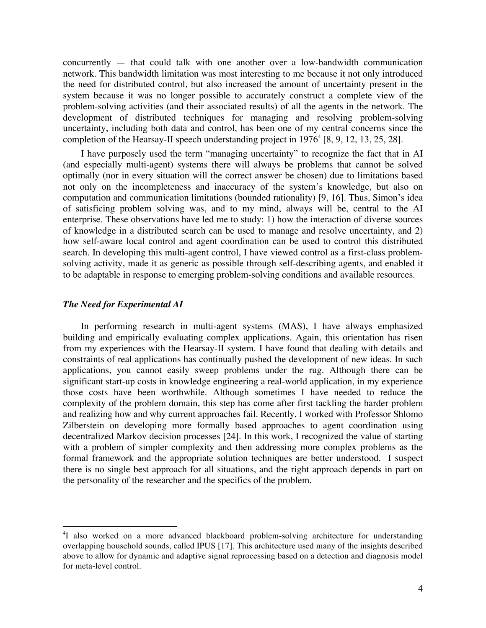concurrently — that could talk with one another over a low-bandwidth communication network. This bandwidth limitation was most interesting to me because it not only introduced the need for distributed control, but also increased the amount of uncertainty present in the system because it was no longer possible to accurately construct a complete view of the problem-solving activities (and their associated results) of all the agents in the network. The development of distributed techniques for managing and resolving problem-solving uncertainty, including both data and control, has been one of my central concerns since the completion of the Hearsay-II speech understanding project in  $1976^4$  [8, 9, 12, 13, 25, 28].

I have purposely used the term "managing uncertainty" to recognize the fact that in AI (and especially multi-agent) systems there will always be problems that cannot be solved optimally (nor in every situation will the correct answer be chosen) due to limitations based not only on the incompleteness and inaccuracy of the system's knowledge, but also on computation and communication limitations (bounded rationality) [9, 16]. Thus, Simon's idea of satisficing problem solving was, and to my mind, always will be, central to the AI enterprise. These observations have led me to study: 1) how the interaction of diverse sources of knowledge in a distributed search can be used to manage and resolve uncertainty, and 2) how self-aware local control and agent coordination can be used to control this distributed search. In developing this multi-agent control, I have viewed control as a first-class problemsolving activity, made it as generic as possible through self-describing agents, and enabled it to be adaptable in response to emerging problem-solving conditions and available resources.

### *The Need for Experimental AI*

 $\overline{a}$ 

In performing research in multi-agent systems (MAS), I have always emphasized building and empirically evaluating complex applications. Again, this orientation has risen from my experiences with the Hearsay-II system. I have found that dealing with details and constraints of real applications has continually pushed the development of new ideas. In such applications, you cannot easily sweep problems under the rug. Although there can be significant start-up costs in knowledge engineering a real-world application, in my experience those costs have been worthwhile. Although sometimes I have needed to reduce the complexity of the problem domain, this step has come after first tackling the harder problem and realizing how and why current approaches fail. Recently, I worked with Professor Shlomo Zilberstein on developing more formally based approaches to agent coordination using decentralized Markov decision processes [24]. In this work, I recognized the value of starting with a problem of simpler complexity and then addressing more complex problems as the formal framework and the appropriate solution techniques are better understood. I suspect there is no single best approach for all situations, and the right approach depends in part on the personality of the researcher and the specifics of the problem.

<sup>&</sup>lt;sup>4</sup>I also worked on a more advanced blackboard problem-solving architecture for understanding overlapping household sounds, called IPUS [17]. This architecture used many of the insights described above to allow for dynamic and adaptive signal reprocessing based on a detection and diagnosis model for meta-level control.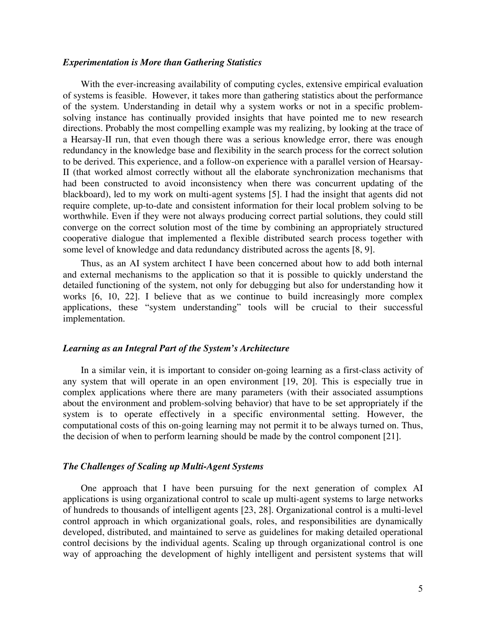#### *Experimentation is More than Gathering Statistics*

With the ever-increasing availability of computing cycles, extensive empirical evaluation of systems is feasible. However, it takes more than gathering statistics about the performance of the system. Understanding in detail why a system works or not in a specific problemsolving instance has continually provided insights that have pointed me to new research directions. Probably the most compelling example was my realizing, by looking at the trace of a Hearsay-II run, that even though there was a serious knowledge error, there was enough redundancy in the knowledge base and flexibility in the search process for the correct solution to be derived. This experience, and a follow-on experience with a parallel version of Hearsay-II (that worked almost correctly without all the elaborate synchronization mechanisms that had been constructed to avoid inconsistency when there was concurrent updating of the blackboard), led to my work on multi-agent systems [5]. I had the insight that agents did not require complete, up-to-date and consistent information for their local problem solving to be worthwhile. Even if they were not always producing correct partial solutions, they could still converge on the correct solution most of the time by combining an appropriately structured cooperative dialogue that implemented a flexible distributed search process together with some level of knowledge and data redundancy distributed across the agents [8, 9].

Thus, as an AI system architect I have been concerned about how to add both internal and external mechanisms to the application so that it is possible to quickly understand the detailed functioning of the system, not only for debugging but also for understanding how it works [6, 10, 22]. I believe that as we continue to build increasingly more complex applications, these "system understanding" tools will be crucial to their successful implementation.

# *Learning as an Integral Part of the System's Architecture*

In a similar vein, it is important to consider on-going learning as a first-class activity of any system that will operate in an open environment [19, 20]. This is especially true in complex applications where there are many parameters (with their associated assumptions about the environment and problem-solving behavior) that have to be set appropriately if the system is to operate effectively in a specific environmental setting. However, the computational costs of this on-going learning may not permit it to be always turned on. Thus, the decision of when to perform learning should be made by the control component [21].

# *The Challenges of Scaling up Multi-Agent Systems*

One approach that I have been pursuing for the next generation of complex AI applications is using organizational control to scale up multi-agent systems to large networks of hundreds to thousands of intelligent agents [23, 28]. Organizational control is a multi-level control approach in which organizational goals, roles, and responsibilities are dynamically developed, distributed, and maintained to serve as guidelines for making detailed operational control decisions by the individual agents. Scaling up through organizational control is one way of approaching the development of highly intelligent and persistent systems that will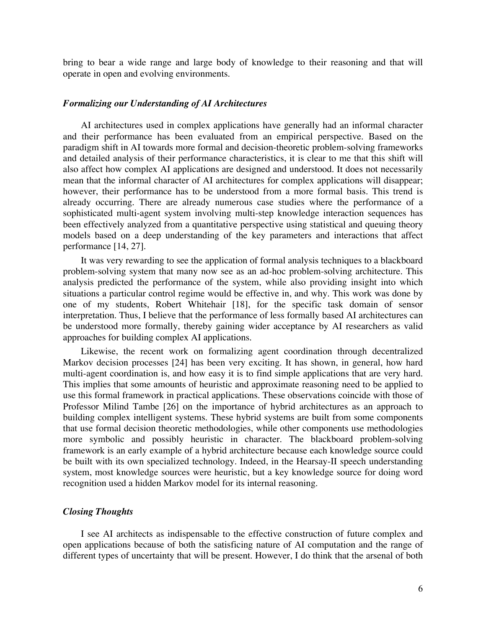bring to bear a wide range and large body of knowledge to their reasoning and that will operate in open and evolving environments.

#### *Formalizing our Understanding of AI Architectures*

AI architectures used in complex applications have generally had an informal character and their performance has been evaluated from an empirical perspective. Based on the paradigm shift in AI towards more formal and decision-theoretic problem-solving frameworks and detailed analysis of their performance characteristics, it is clear to me that this shift will also affect how complex AI applications are designed and understood. It does not necessarily mean that the informal character of AI architectures for complex applications will disappear; however, their performance has to be understood from a more formal basis. This trend is already occurring. There are already numerous case studies where the performance of a sophisticated multi-agent system involving multi-step knowledge interaction sequences has been effectively analyzed from a quantitative perspective using statistical and queuing theory models based on a deep understanding of the key parameters and interactions that affect performance [14, 27].

It was very rewarding to see the application of formal analysis techniques to a blackboard problem-solving system that many now see as an ad-hoc problem-solving architecture. This analysis predicted the performance of the system, while also providing insight into which situations a particular control regime would be effective in, and why. This work was done by one of my students, Robert Whitehair [18], for the specific task domain of sensor interpretation. Thus, I believe that the performance of less formally based AI architectures can be understood more formally, thereby gaining wider acceptance by AI researchers as valid approaches for building complex AI applications.

Likewise, the recent work on formalizing agent coordination through decentralized Markov decision processes [24] has been very exciting. It has shown, in general, how hard multi-agent coordination is, and how easy it is to find simple applications that are very hard. This implies that some amounts of heuristic and approximate reasoning need to be applied to use this formal framework in practical applications. These observations coincide with those of Professor Milind Tambe [26] on the importance of hybrid architectures as an approach to building complex intelligent systems. These hybrid systems are built from some components that use formal decision theoretic methodologies, while other components use methodologies more symbolic and possibly heuristic in character. The blackboard problem-solving framework is an early example of a hybrid architecture because each knowledge source could be built with its own specialized technology. Indeed, in the Hearsay-II speech understanding system, most knowledge sources were heuristic, but a key knowledge source for doing word recognition used a hidden Markov model for its internal reasoning.

# *Closing Thoughts*

I see AI architects as indispensable to the effective construction of future complex and open applications because of both the satisficing nature of AI computation and the range of different types of uncertainty that will be present. However, I do think that the arsenal of both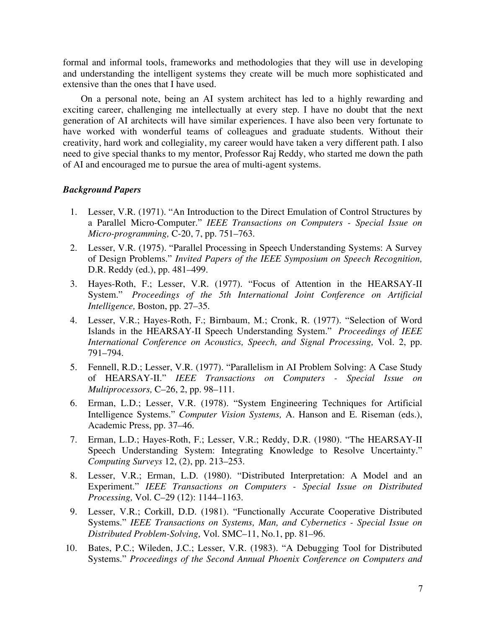formal and informal tools, frameworks and methodologies that they will use in developing and understanding the intelligent systems they create will be much more sophisticated and extensive than the ones that I have used.

On a personal note, being an AI system architect has led to a highly rewarding and exciting career, challenging me intellectually at every step. I have no doubt that the next generation of AI architects will have similar experiences. I have also been very fortunate to have worked with wonderful teams of colleagues and graduate students. Without their creativity, hard work and collegiality, my career would have taken a very different path. I also need to give special thanks to my mentor, Professor Raj Reddy, who started me down the path of AI and encouraged me to pursue the area of multi-agent systems.

# *Background Papers*

- 1. Lesser, V.R. (1971). "An Introduction to the Direct Emulation of Control Structures by a Parallel Micro-Computer." *IEEE Transactions on Computers - Special Issue on Micro-programming,* C-20, 7, pp. 751–763.
- 2. Lesser, V.R. (1975). "Parallel Processing in Speech Understanding Systems: A Survey of Design Problems." *Invited Papers of the IEEE Symposium on Speech Recognition,* D.R. Reddy (ed.), pp. 481–499.
- 3. Hayes-Roth, F.; Lesser, V.R. (1977). "Focus of Attention in the HEARSAY-II System." *Proceedings of the 5th International Joint Conference on Artificial Intelligence,* Boston, pp. 27–35.
- 4. Lesser, V.R.; Hayes-Roth, F.; Birnbaum, M.; Cronk, R. (1977). "Selection of Word Islands in the HEARSAY-II Speech Understanding System." *Proceedings of IEEE International Conference on Acoustics, Speech, and Signal Processing,* Vol. 2, pp. 791–794.
- 5. Fennell, R.D.; Lesser, V.R. (1977). "Parallelism in AI Problem Solving: A Case Study of HEARSAY-II." *IEEE Transactions on Computers - Special Issue on Multiprocessors,* C–26, 2, pp. 98–111.
- 6. Erman, L.D.; Lesser, V.R. (1978). "System Engineering Techniques for Artificial Intelligence Systems." *Computer Vision Systems,* A. Hanson and E. Riseman (eds.), Academic Press, pp. 37–46.
- 7. Erman, L.D.; Hayes-Roth, F.; Lesser, V.R.; Reddy, D.R. (1980). "The HEARSAY-II Speech Understanding System: Integrating Knowledge to Resolve Uncertainty." *Computing Surveys* 12, (2), pp. 213–253.
- 8. Lesser, V.R.; Erman, L.D. (1980). "Distributed Interpretation: A Model and an Experiment." *IEEE Transactions on Computers - Special Issue on Distributed Processing,* Vol. C–29 (12): 1144–1163.
- 9. Lesser, V.R.; Corkill, D.D. (1981). "Functionally Accurate Cooperative Distributed Systems." *IEEE Transactions on Systems, Man, and Cybernetics - Special Issue on Distributed Problem-Solving,* Vol. SMC–11, No.1, pp. 81–96.
- 10. Bates, P.C.; Wileden, J.C.; Lesser, V.R. (1983). "A Debugging Tool for Distributed Systems." *Proceedings of the Second Annual Phoenix Conference on Computers and*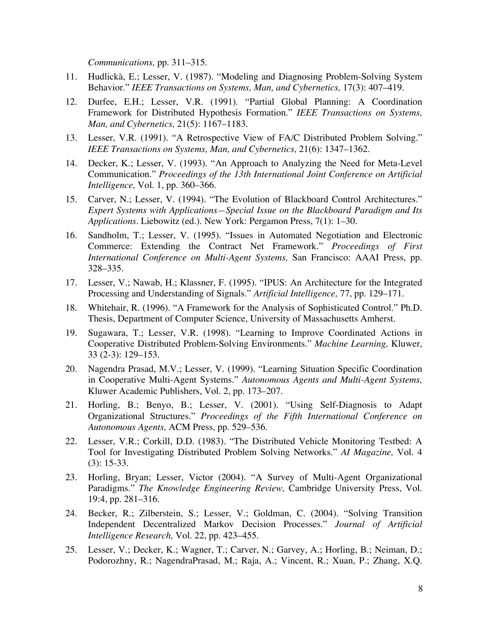*Communications,* pp. 311–315.

- 11. Hudlickà, E.; Lesser, V. (1987). "Modeling and Diagnosing Problem-Solving System Behavior." *IEEE Transactions on Systems, Man, and Cybernetics,* 17(3): 407–419.
- 12. Durfee, E.H.; Lesser, V.R. (1991). "Partial Global Planning: A Coordination Framework for Distributed Hypothesis Formation." *IEEE Transactions on Systems, Man, and Cybernetics,* 21(5): 1167–1183.
- 13. Lesser, V.R. (1991). "A Retrospective View of FA/C Distributed Problem Solving." *IEEE Transactions on Systems, Man, and Cybernetics,* 21(6): 1347–1362.
- 14. Decker, K.; Lesser, V. (1993). "An Approach to Analyzing the Need for Meta-Level Communication." *Proceedings of the 13th International Joint Conference on Artificial Intelligence,* Vol. 1, pp. 360–366.
- 15. Carver, N.; Lesser, V. (1994). "The Evolution of Blackboard Control Architectures." *Expert Systems with Applications—Special Issue on the Blackboard Paradigm and Its Applications.* Liebowitz (ed.). New York: Pergamon Press, 7(1): 1–30.
- 16. Sandholm, T.; Lesser, V. (1995). "Issues in Automated Negotiation and Electronic Commerce: Extending the Contract Net Framework." *Proceedings of First International Conference on Multi-Agent Systems,* San Francisco: AAAI Press, pp. 328–335.
- 17. Lesser, V.; Nawab, H.; Klassner, F. (1995). "IPUS: An Architecture for the Integrated Processing and Understanding of Signals." *Artificial Intelligence,* 77, pp. 129–171.
- 18. Whitehair, R. (1996). "A Framework for the Analysis of Sophisticated Control." Ph.D. Thesis, Department of Computer Science, University of Massachusetts Amherst.
- 19. Sugawara, T.; Lesser, V.R. (1998). "Learning to Improve Coordinated Actions in Cooperative Distributed Problem-Solving Environments." *Machine Learning,* Kluwer, 33 (2-3): 129–153.
- 20. Nagendra Prasad, M.V.; Lesser, V. (1999). "Learning Situation Specific Coordination in Cooperative Multi-Agent Systems." *Autonomous Agents and Multi-Agent Systems,* Kluwer Academic Publishers, Vol. 2, pp. 173–207.
- 21. Horling, B.; Benyo, B.; Lesser, V. (2001). "Using Self-Diagnosis to Adapt Organizational Structures." *Proceedings of the Fifth International Conference on Autonomous Agents,* ACM Press, pp. 529–536.
- 22. Lesser, V.R.; Corkill, D.D. (1983). "The Distributed Vehicle Monitoring Testbed: A Tool for Investigating Distributed Problem Solving Networks." *AI Magazine,* Vol. 4 (3): 15-33.
- 23. Horling, Bryan; Lesser, Victor (2004). "A Survey of Multi-Agent Organizational Paradigms." *The Knowledge Engineering Review,* Cambridge University Press, Vol. 19:4, pp. 281–316.
- 24. Becker, R.; Zilberstein, S.; Lesser, V.; Goldman, C. (2004). "Solving Transition Independent Decentralized Markov Decision Processes." *Journal of Artificial Intelligence Research,* Vol. 22, pp. 423–455.
- 25. Lesser, V.; Decker, K.; Wagner, T.; Carver, N.; Garvey, A.; Horling, B.; Neiman, D.; Podorozhny, R.; NagendraPrasad, M.; Raja, A.; Vincent, R.; Xuan, P.; Zhang, X.Q.